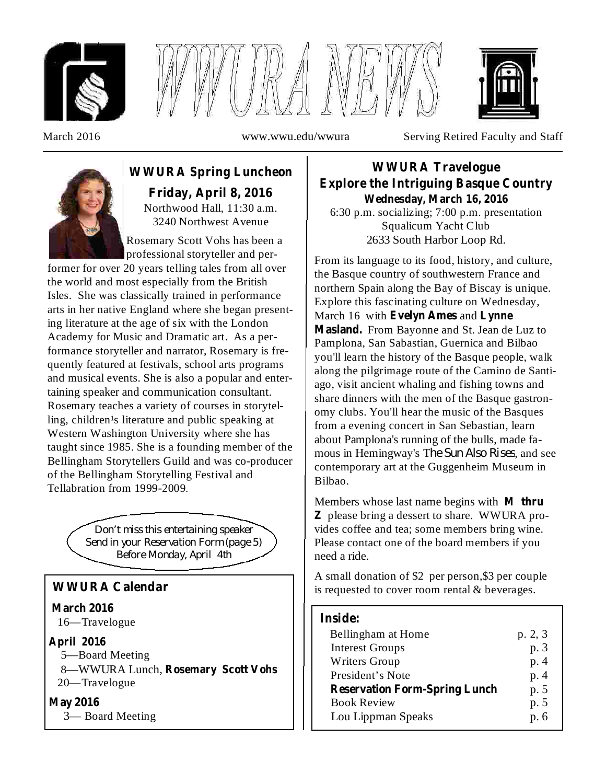





March 2016 www.wwu.edu/wwura Serving Retired Faculty and Staff



Northwood Hall, 11:30 a.m. **WWURA Spring Luncheon Friday, April 8, 2016**

3240 Northwest Avenue Rosemary Scott Vohs has been a professional storyteller and per-

former for over 20 years telling tales from all over the world and most especially from the British Isles. She was classically trained in performance arts in her native England where she began presenting literature at the age of six with the London Academy for Music and Dramatic art. As a performance storyteller and narrator, Rosemary is frequently featured at festivals, school arts programs and musical events. She is also a popular and entertaining speaker and communication consultant. Rosemary teaches a variety of courses in storytelling, children<sup>1</sup>s literature and public speaking at Western Washington University where she has taught since 1985. She is a founding member of the Bellingham Storytellers Guild and was co-producer of the Bellingham Storytelling Festival and Tellabration from 1999-2009.

> *Don't miss this entertaining speaker Send in your Reservation Form (page 5) Before Monday, April 4th*

## **WWURA Calendar**

16—Travelogue **March 2016**

## **April 2016**

5—Board Meeting

8—WWURA Lunch, **Rosemary Scott Vohs** 20—Travelogue

## **May 2016**

3— Board Meeting

6:30 p.m. socializing; 7:00 p.m. presentation Squalicum Yacht Club 2633 South Harbor Loop Rd. **WWURA Travelogue Explore the Intriguing Basque Country Wednesday, March 16, 2016**

From its language to its food, history, and culture, the Basque country of southwestern France and northern Spain along the Bay of Biscay is unique. Explore this fascinating culture on Wednesday, March 16 with **Evelyn Ames** and **Lynne** Masland. From Bayonne and St. Jean de Luz to Pamplona, San Sabastian, Guernica and Bilbao you'll learn the history of the Basque people, walk along the pilgrimage route of the Camino de Santiago, visit ancient whaling and fishing towns and share dinners with the men of the Basque gastronomy clubs. You'll hear the music of the Basques from a evening concert in San Sebastian, learn about Pamplona's running of the bulls, made famous in Hemingway's The Sun Also Rises, and see contemporary art at the Guggenheim Museum in Bilbao.

Members whose last name begins with **M thru** please bring a dessert to share. WWURA pro-**Z** vides coffee and tea; some members bring wine. Please contact one of the board members if you need a ride.

A small donation of \$2 per person,\$3 per couple is requested to cover room rental & beverages.

## **Inside:**

| Bellingham at Home                   | p. 2, 3 |
|--------------------------------------|---------|
| <b>Interest Groups</b>               | p. 3    |
| <b>Writers Group</b>                 | p. 4    |
| President's Note                     | p. 4    |
| <b>Reservation Form-Spring Lunch</b> | p. 5    |
| <b>Book Review</b>                   | p. 5    |
| Lou Lippman Speaks                   | p. 6    |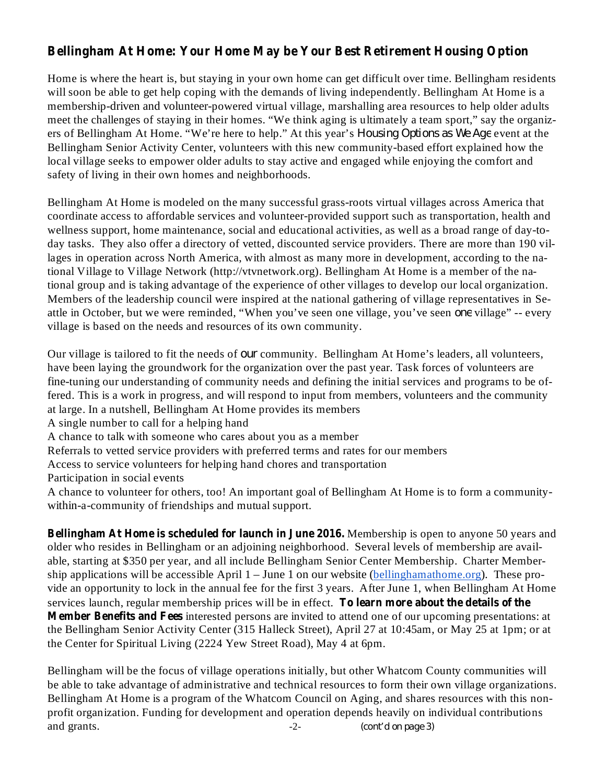# **Bellingham At Home: Your Home May be Your Best Retirement Housing Option**

Home is where the heart is, but staying in your own home can get difficult over time. Bellingham residents will soon be able to get help coping with the demands of living independently. Bellingham At Home is a membership-driven and volunteer-powered virtual village, marshalling area resources to help older adults meet the challenges of staying in their homes. "We think aging is ultimately a team sport," say the organizers of Bellingham At Home. "We're here to help." At this year's *Housing Options as We Age* event at the Bellingham Senior Activity Center, volunteers with this new community-based effort explained how the local village seeks to empower older adults to stay active and engaged while enjoying the comfort and safety of living in their own homes and neighborhoods.

Bellingham At Home is modeled on the many successful grass-roots virtual villages across America that coordinate access to affordable services and volunteer-provided support such as transportation, health and wellness support, home maintenance, social and educational activities, as well as a broad range of day-today tasks. They also offer a directory of vetted, discounted service providers. There are more than 190 villages in operation across North America, with almost as many more in development, according to the national Village to Village Network (http://vtvnetwork.org). Bellingham At Home is a member of the national group and is taking advantage of the experience of other villages to develop our local organization. Members of the leadership council were inspired at the national gathering of village representatives in Seattle in October, but we were reminded, "When you've seen one village, you've seen *one* village" -- every village is based on the needs and resources of its own community.

Our village is tailored to fit the needs of *our* community. Bellingham At Home's leaders, all volunteers, have been laying the groundwork for the organization over the past year. Task forces of volunteers are fine-tuning our understanding of community needs and defining the initial services and programs to be offered. This is a work in progress, and will respond to input from members, volunteers and the community at large. In a nutshell, Bellingham At Home provides its members

A single number to call for a helping hand

A chance to talk with someone who cares about you as a member

Referrals to vetted service providers with preferred terms and rates for our members

Access to service volunteers for helping hand chores and transportation

Participation in social events

A chance to volunteer for others, too! An important goal of Bellingham At Home is to form a communitywithin-a-community of friendships and mutual support.

**Bellingham At Home is scheduled for launch in June 2016.** Membership is open to anyone 50 years and **Services launch, regular membership prices will be in effect. To learn more about the details of the Member Benefits and Fees** interested persons are invited to attend one of our upcoming presentations: at older who resides in Bellingham or an adjoining neighborhood. Several levels of membership are available, starting at \$350 per year, and all include Bellingham Senior Center Membership. Charter Membership applications will be accessible April  $1 -$  June 1 on our website (bellinghamathome.org). These provide an opportunity to lock in the annual fee for the first 3 years. After June 1, when Bellingham At Home the Bellingham Senior Activity Center (315 Halleck Street), April 27 at 10:45am, or May 25 at 1pm; or at the Center for Spiritual Living (2224 Yew Street Road), May 4 at 6pm.

Bellingham will be the focus of village operations initially, but other Whatcom County communities will be able to take advantage of administrative and technical resources to form their own village organizations. Bellingham At Home is a program of the Whatcom Council on Aging, and shares resources with this nonprofit organization. Funding for development and operation depends heavily on individual contributions and grants.  $\qquad \qquad -2$ -*(cont'd on page 3)*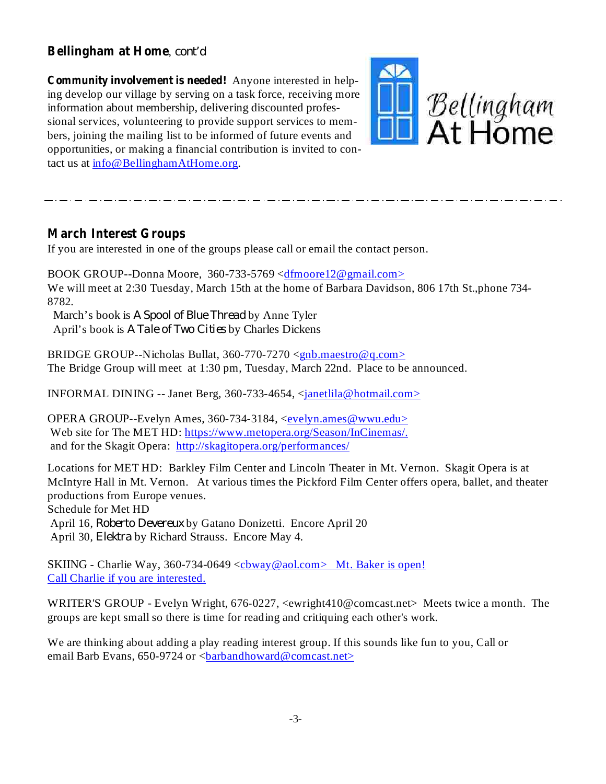## , **Bellingham at Home** *cont'd*

Anyone interested in help-**Community involvement is needed!** ing develop our village by serving on a task force, receiving more information about membership, delivering discounted professional services, volunteering to provide support services to members, joining the mailing list to be informed of future events and opportunities, or making a financial contribution is invited to contact us at info@BellinghamAtHome.org.



## **March Interest Groups**

If you are interested in one of the groups please call or email the contact person.

BOOK GROUP--Donna Moore, 360-733-5769 <dfmoore12@gmail.com> We will meet at 2:30 Tuesday, March 15th at the home of Barbara Davidson, 806 17th St.,phone 734- 8782.

March's book is A *Spool of Blue Thread* by Anne Tyler April's book is A Tale of Two Cities by Charles Dickens

BRIDGE GROUP--Nicholas Bullat, 360-770-7270 <gnb.maestro@q.com> The Bridge Group will meet at 1:30 pm, Tuesday, March 22nd. Place to be announced.

INFORMAL DINING -- Janet Berg, 360-733-4654,  $\langle$  and  $\langle$  hotmail.com >

OPERA GROUP--Evelyn Ames, 360-734-3184, <evelyn.ames@wwu.edu> Web site for The MET HD: https://www.metopera.org/Season/InCinemas/. and for the Skagit Opera: http://skagitopera.org/performances/

Locations for MET HD: Barkley Film Center and Lincoln Theater in Mt. Vernon. Skagit Opera is at McIntyre Hall in Mt. Vernon. At various times the Pickford Film Center offers opera, ballet, and theater productions from Europe venues. Schedule for Met HD April 16, Roberto Devereux by Gatano Donizetti. Encore April 20 April 30, *Elektra* by Richard Strauss. Encore May 4.

SKIING - Charlie Way, 360-734-0649 <cbway@aol.com> Mt. Baker is open! Call Charlie if you are interested.

WRITER'S GROUP - Evelyn Wright, 676-0227, <ewright410@comcast.net> Meets twice a month. The groups are kept small so there is time for reading and critiquing each other's work.

We are thinking about adding a play reading interest group. If this sounds like fun to you, Call or email Barb Evans, 650-9724 or <br/>barbandhoward@comcast.net>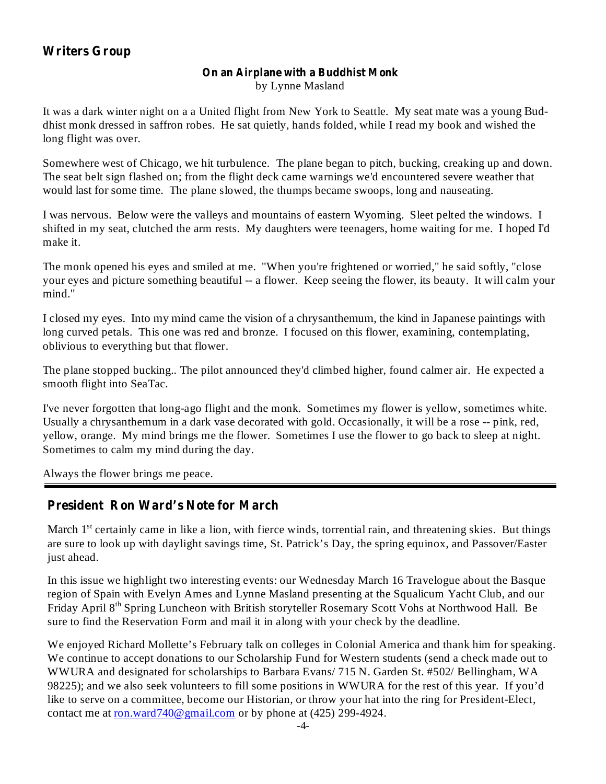## **Writers Group**

#### **On an Airplane with a Buddhist Monk** by Lynne Masland

It was a dark winter night on a a United flight from New York to Seattle. My seat mate was a young Buddhist monk dressed in saffron robes. He sat quietly, hands folded, while I read my book and wished the long flight was over.

Somewhere west of Chicago, we hit turbulence. The plane began to pitch, bucking, creaking up and down. The seat belt sign flashed on; from the flight deck came warnings we'd encountered severe weather that would last for some time. The plane slowed, the thumps became swoops, long and nauseating.

I was nervous. Below were the valleys and mountains of eastern Wyoming. Sleet pelted the windows. I shifted in my seat, clutched the arm rests. My daughters were teenagers, home waiting for me. I hoped I'd make it.

The monk opened his eyes and smiled at me. "When you're frightened or worried," he said softly, "close your eyes and picture something beautiful -- a flower. Keep seeing the flower, its beauty. It will calm your mind."

I closed my eyes. Into my mind came the vision of a chrysanthemum, the kind in Japanese paintings with long curved petals. This one was red and bronze. I focused on this flower, examining, contemplating, oblivious to everything but that flower.

The plane stopped bucking.. The pilot announced they'd climbed higher, found calmer air. He expected a smooth flight into SeaTac.

I've never forgotten that long-ago flight and the monk. Sometimes my flower is yellow, sometimes white. Usually a chrysanthemum in a dark vase decorated with gold. Occasionally, it will be a rose -- pink, red, yellow, orange. My mind brings me the flower. Sometimes I use the flower to go back to sleep at night. Sometimes to calm my mind during the day.

Always the flower brings me peace.

## **President Ron Ward's Note for March**

March 1<sup>st</sup> certainly came in like a lion, with fierce winds, torrential rain, and threatening skies. But things are sure to look up with daylight savings time, St. Patrick's Day, the spring equinox, and Passover/Easter just ahead.

In this issue we highlight two interesting events: our Wednesday March 16 Travelogue about the Basque region of Spain with Evelyn Ames and Lynne Masland presenting at the Squalicum Yacht Club, and our Friday April 8<sup>th</sup> Spring Luncheon with British storyteller Rosemary Scott Vohs at Northwood Hall. Be sure to find the Reservation Form and mail it in along with your check by the deadline.

We enjoyed Richard Mollette's February talk on colleges in Colonial America and thank him for speaking. We continue to accept donations to our Scholarship Fund for Western students (send a check made out to WWURA and designated for scholarships to Barbara Evans/ 715 N. Garden St. #502/ Bellingham, WA 98225); and we also seek volunteers to fill some positions in WWURA for the rest of this year. If you'd like to serve on a committee, become our Historian, or throw your hat into the ring for President-Elect, contact me at ron.ward740@gmail.com or by phone at (425) 299-4924.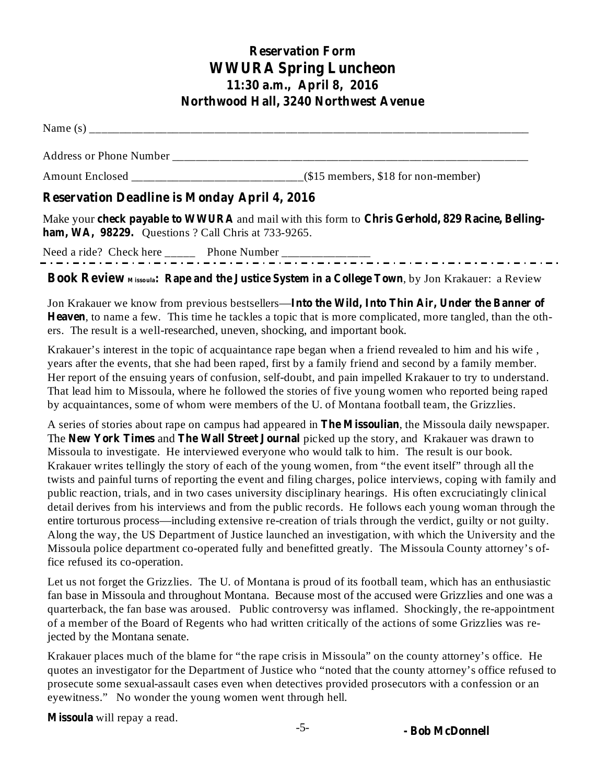# **Reservation Form WWURA Spring Luncheon 11:30 a.m., April 8, 2016 Northwood Hall, 3240 Northwest Avenue**

Name  $(s)$ 

Address or Phone Number

Amount Enclosed \_\_\_\_\_\_\_\_\_\_\_\_\_\_\_\_\_\_\_\_\_\_\_\_\_\_\_\_\_(\$15 members, \$18 for non-member)

# **Reservation Deadline is Monday April 4, 2016**

Make your check payable to WWURA and mail with this form to Chris Gerhold, 829 Racine, Belling**ham, WA, 98229.** Questions ? Call Chris at 733-9265.

Need a ride? Check here \_\_\_\_\_ Phone Number \_\_\_\_\_\_\_\_\_\_\_\_\_\_\_

## , by Jon Krakauer: a Review **Book Review <sup>M</sup> issoula: Rape and the Justice System in a College Town**

Jon Krakauer we know from previous bestsellers— **Into the Wild, Into Thin Air, Under the Banner of** Heaven, to name a few. This time he tackles a topic that is more complicated, more tangled, than the others. The result is a well-researched, uneven, shocking, and important book.

Krakauer's interest in the topic of acquaintance rape began when a friend revealed to him and his wife , years after the events, that she had been raped, first by a family friend and second by a family member. Her report of the ensuing years of confusion, self-doubt, and pain impelled Krakauer to try to understand. That lead him to Missoula, where he followed the stories of five young women who reported being raped by acquaintances, some of whom were members of the U. of Montana football team, the Grizzlies.

A series of stories about rape on campus had appeared in **The Missoulian**, the Missoula daily newspaper. The New York Times and The Wall Street Journal picked up the story, and Krakauer was drawn to Missoula to investigate. He interviewed everyone who would talk to him. The result is our book. Krakauer writes tellingly the story of each of the young women, from "the event itself" through all the twists and painful turns of reporting the event and filing charges, police interviews, coping with family and public reaction, trials, and in two cases university disciplinary hearings. His often excruciatingly clinical detail derives from his interviews and from the public records. He follows each young woman through the entire torturous process—including extensive re-creation of trials through the verdict, guilty or not guilty. Along the way, the US Department of Justice launched an investigation, with which the University and the Missoula police department co-operated fully and benefitted greatly. The Missoula County attorney's office refused its co-operation.

Let us not forget the Grizzlies. The U. of Montana is proud of its football team, which has an enthusiastic fan base in Missoula and throughout Montana. Because most of the accused were Grizzlies and one was a quarterback, the fan base was aroused. Public controversy was inflamed. Shockingly, the re-appointment of a member of the Board of Regents who had written critically of the actions of some Grizzlies was rejected by the Montana senate.

Krakauer places much of the blame for "the rape crisis in Missoula" on the county attorney's office. He quotes an investigator for the Department of Justice who "noted that the county attorney's office refused to prosecute some sexual-assault cases even when detectives provided prosecutors with a confession or an eyewitness." No wonder the young women went through hell.

Missoula will repay a read.

**- Bob McDonnell**